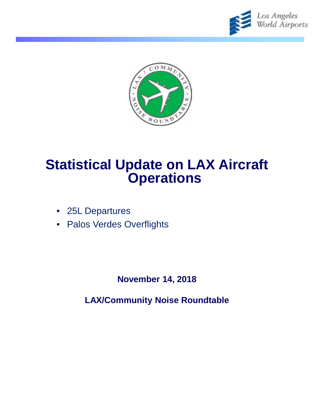



# **Statistical Update on LAX Aircraft Operations**

- 25L Departures
- Palos Verdes Overflights

**November 14, 2018**

**LAX/Community Noise Roundtable**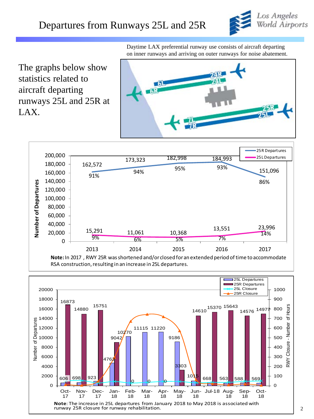

The graphs below show statistics related to aircraft departing runways 25L and 25R at LAX.

Daytime LAX preferential runway use consists of aircraft departing on inner runways and arriving on outer runways for noise abatement.





RSA construction, resulting in an increase in 25L departures.

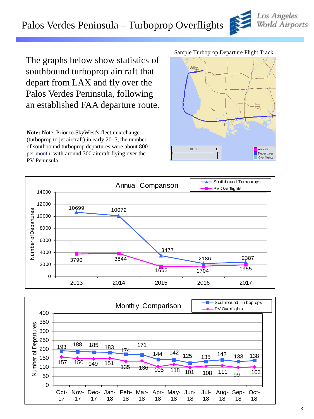# Palos Verdes Peninsula – Turboprop Overflights

The graphs below show statistics of southbound turboprop aircraft that depart from LAX and fly over the Palos Verdes Peninsula, following an established FAA departure route.

**Note:** Note: Prior to SkyWest's fleet mix change (turboprop to jet aircraft) in early 2015, the number of southbound turboprop departures were about 800 per month, with around 300 aircraft flying over the PV Peninsula.

#### Sample Turboprop Departure Flight Track







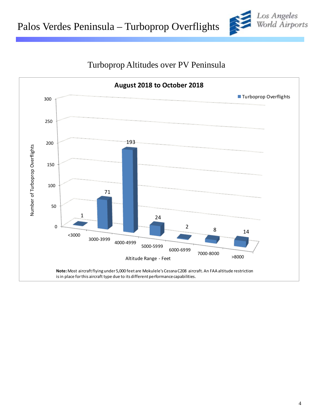



### Turboprop Altitudes over PV Peninsula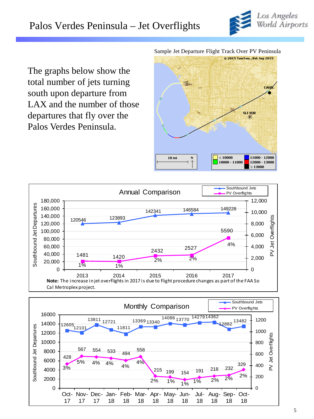

The graphs below show the total number of jets turning south upon departure from LAX and the number of those departures that fly over the Palos Verdes Peninsula.